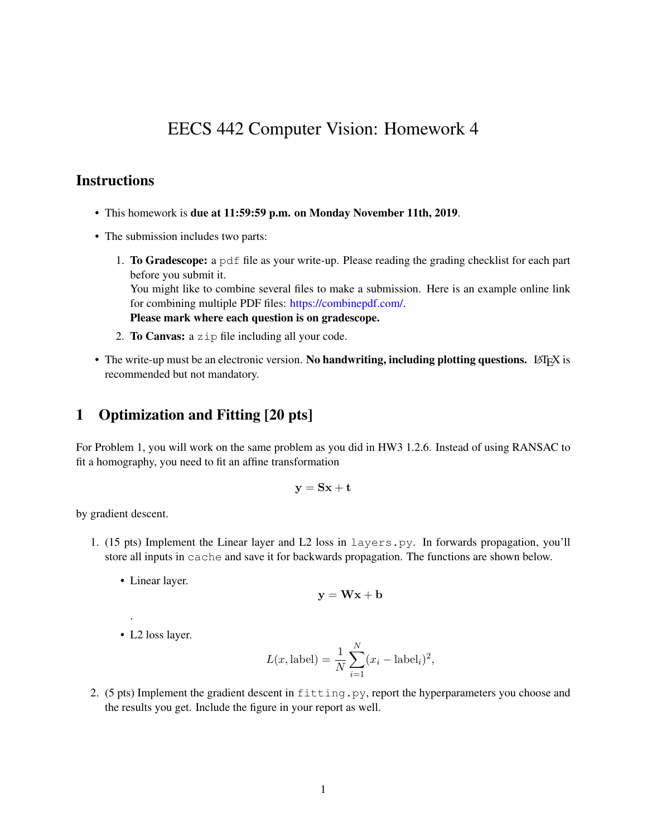# EECS 442 Computer Vision: Homework 4

### **Instructions**

- This homework is due at 11:59:59 p.m. on Monday November 11th, 2019.
- The submission includes two parts:
	- 1. To Gradescope: a pdf file as your write-up. Please reading the grading checklist for each part before you submit it.

You might like to combine several files to make a submission. Here is an example online link for combining multiple PDF files: [https://combinepdf.com/.](https://combinepdf.com/)

Please mark where each question is on gradescope.

- 2. To Canvas: a zip file including all your code.
- The write-up must be an electronic version. No handwriting, including plotting questions. LATEX is recommended but not mandatory.

### 1 Optimization and Fitting [20 pts]

For Problem 1, you will work on the same problem as you did in HW3 1.2.6. Instead of using RANSAC to fit a homography, you need to fit an affine transformation

$$
\mathbf{y} = \mathbf{S}\mathbf{x} + \mathbf{t}
$$

by gradient descent.

- 1. (15 pts) Implement the Linear layer and L2 loss in layers.py. In forwards propagation, you'll store all inputs in cache and save it for backwards propagation. The functions are shown below.
	- Linear layer.

$$
\mathbf{y} = \mathbf{W}\mathbf{x} + \mathbf{b}
$$

• L2 loss layer.

.

$$
L(x, \text{label}) = \frac{1}{N} \sum_{i=1}^{N} (x_i - \text{label}_i)^2,
$$

2. (5 pts) Implement the gradient descent in fitting.py, report the hyperparameters you choose and the results you get. Include the figure in your report as well.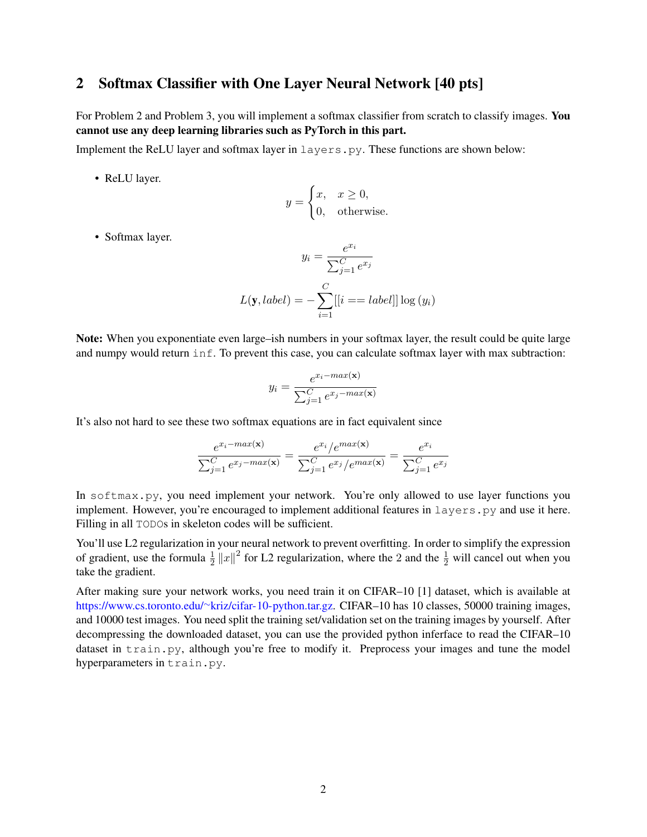### 2 Softmax Classifier with One Layer Neural Network [40 pts]

For Problem 2 and Problem 3, you will implement a softmax classifier from scratch to classify images. You cannot use any deep learning libraries such as PyTorch in this part.

Implement the ReLU layer and softmax layer in layers.py. These functions are shown below:

• ReLU layer.

$$
y = \begin{cases} x, & x \ge 0, \\ 0, & \text{otherwise.} \end{cases}
$$

• Softmax layer.

$$
y_i = \frac{e^{x_i}}{\sum_{j=1}^{C} e^{x_j}}
$$

$$
L(\mathbf{y}, label) = -\sum_{i=1}^{C} [[i == label]] \log (y_i)
$$

Note: When you exponentiate even large–ish numbers in your softmax layer, the result could be quite large and numpy would return inf. To prevent this case, you can calculate softmax layer with max subtraction:

$$
y_i = \frac{e^{x_i - max(\mathbf{x})}}{\sum_{j=1}^{C} e^{x_j - max(\mathbf{x})}}
$$

It's also not hard to see these two softmax equations are in fact equivalent since

$$
\frac{e^{x_i - max(\mathbf{x})}}{\sum_{j=1}^{C} e^{x_j - max(\mathbf{x})}} = \frac{e^{x_i} / e^{max(\mathbf{x})}}{\sum_{j=1}^{C} e^{x_j} / e^{max(\mathbf{x})}} = \frac{e^{x_i}}{\sum_{j=1}^{C} e^{x_j}}
$$

In softmax.py, you need implement your network. You're only allowed to use layer functions you implement. However, you're encouraged to implement additional features in layers.py and use it here. Filling in all TODOs in skeleton codes will be sufficient.

You'll use L2 regularization in your neural network to prevent overfitting. In order to simplify the expression of gradient, use the formula  $\frac{1}{2} ||x||^2$  for L2 regularization, where the 2 and the  $\frac{1}{2}$  will cancel out when you take the gradient.

After making sure your network works, you need train it on CIFAR–10 [1] dataset, which is available at [https://www.cs.toronto.edu/](https://www.cs.toronto.edu/~kriz/cifar-10-python.tar.gz)∼kriz/cifar-10-python.tar.gz. CIFAR–10 has 10 classes, 50000 training images, and 10000 test images. You need split the training set/validation set on the training images by yourself. After decompressing the downloaded dataset, you can use the provided python inferface to read the CIFAR–10 dataset in train.py, although you're free to modify it. Preprocess your images and tune the model hyperparameters in train.py.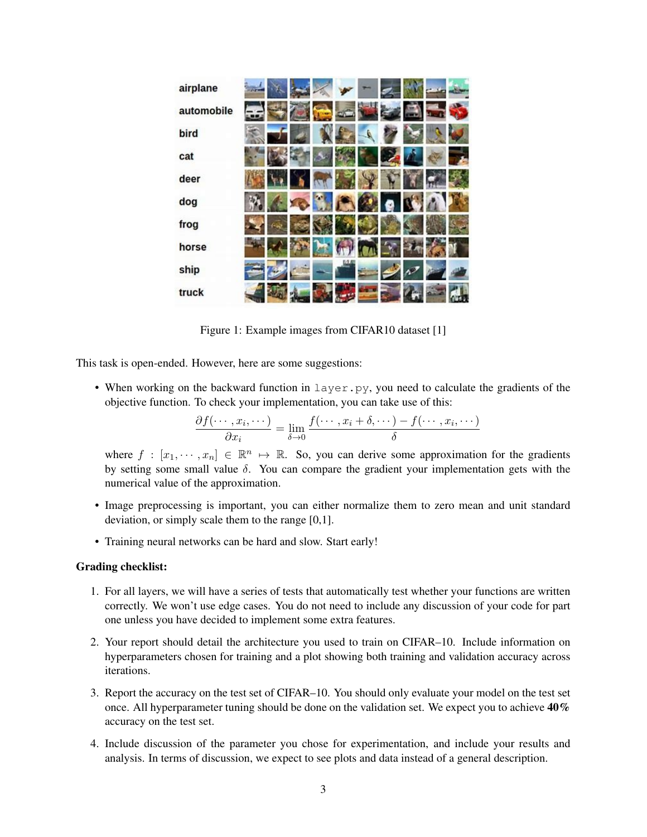| airplane   | <b>Contract</b> |  |       |  |   |   |    |
|------------|-----------------|--|-------|--|---|---|----|
| automobile |                 |  |       |  |   | ы | ч. |
| bird       |                 |  |       |  |   |   |    |
| cat        |                 |  |       |  |   |   | þ. |
| deer       |                 |  |       |  |   |   |    |
| dog        |                 |  |       |  |   |   |    |
| frog       |                 |  |       |  |   |   |    |
| horse      |                 |  |       |  |   |   |    |
| ship       |                 |  | 1,441 |  |   |   |    |
| truck      |                 |  |       |  | m |   |    |

Figure 1: Example images from CIFAR10 dataset [1]

This task is open-ended. However, here are some suggestions:

• When working on the backward function in layer.py, you need to calculate the gradients of the objective function. To check your implementation, you can take use of this:

$$
\frac{\partial f(\cdots, x_i, \cdots)}{\partial x_i} = \lim_{\delta \to 0} \frac{f(\cdots, x_i + \delta, \cdots) - f(\cdots, x_i, \cdots)}{\delta}
$$

where  $f : [x_1, \dots, x_n] \in \mathbb{R}^n \mapsto \mathbb{R}$ . So, you can derive some approximation for the gradients by setting some small value  $\delta$ . You can compare the gradient your implementation gets with the numerical value of the approximation.

- Image preprocessing is important, you can either normalize them to zero mean and unit standard deviation, or simply scale them to the range [0,1].
- Training neural networks can be hard and slow. Start early!

#### Grading checklist:

- 1. For all layers, we will have a series of tests that automatically test whether your functions are written correctly. We won't use edge cases. You do not need to include any discussion of your code for part one unless you have decided to implement some extra features.
- 2. Your report should detail the architecture you used to train on CIFAR–10. Include information on hyperparameters chosen for training and a plot showing both training and validation accuracy across iterations.
- 3. Report the accuracy on the test set of CIFAR–10. You should only evaluate your model on the test set once. All hyperparameter tuning should be done on the validation set. We expect you to achieve 40% accuracy on the test set.
- 4. Include discussion of the parameter you chose for experimentation, and include your results and analysis. In terms of discussion, we expect to see plots and data instead of a general description.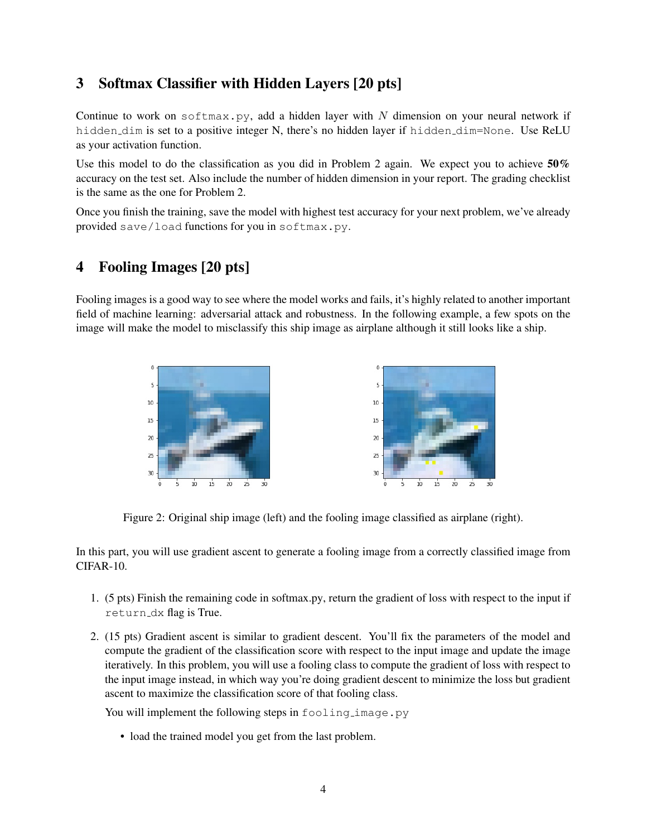## 3 Softmax Classifier with Hidden Layers [20 pts]

Continue to work on softmax.py, add a hidden layer with  $N$  dimension on your neural network if hidden dim is set to a positive integer N, there's no hidden layer if hidden dim=None. Use ReLU as your activation function.

Use this model to do the classification as you did in Problem 2 again. We expect you to achieve  $50\%$ accuracy on the test set. Also include the number of hidden dimension in your report. The grading checklist is the same as the one for Problem 2.

Once you finish the training, save the model with highest test accuracy for your next problem, we've already provided save/load functions for you in softmax.py.

### 4 Fooling Images [20 pts]

Fooling images is a good way to see where the model works and fails, it's highly related to another important field of machine learning: adversarial attack and robustness. In the following example, a few spots on the image will make the model to misclassify this ship image as airplane although it still looks like a ship.



Figure 2: Original ship image (left) and the fooling image classified as airplane (right).

In this part, you will use gradient ascent to generate a fooling image from a correctly classified image from CIFAR-10.

- 1. (5 pts) Finish the remaining code in softmax.py, return the gradient of loss with respect to the input if return dx flag is True.
- 2. (15 pts) Gradient ascent is similar to gradient descent. You'll fix the parameters of the model and compute the gradient of the classification score with respect to the input image and update the image iteratively. In this problem, you will use a fooling class to compute the gradient of loss with respect to the input image instead, in which way you're doing gradient descent to minimize the loss but gradient ascent to maximize the classification score of that fooling class.

You will implement the following steps in fooling image.py

• load the trained model you get from the last problem.